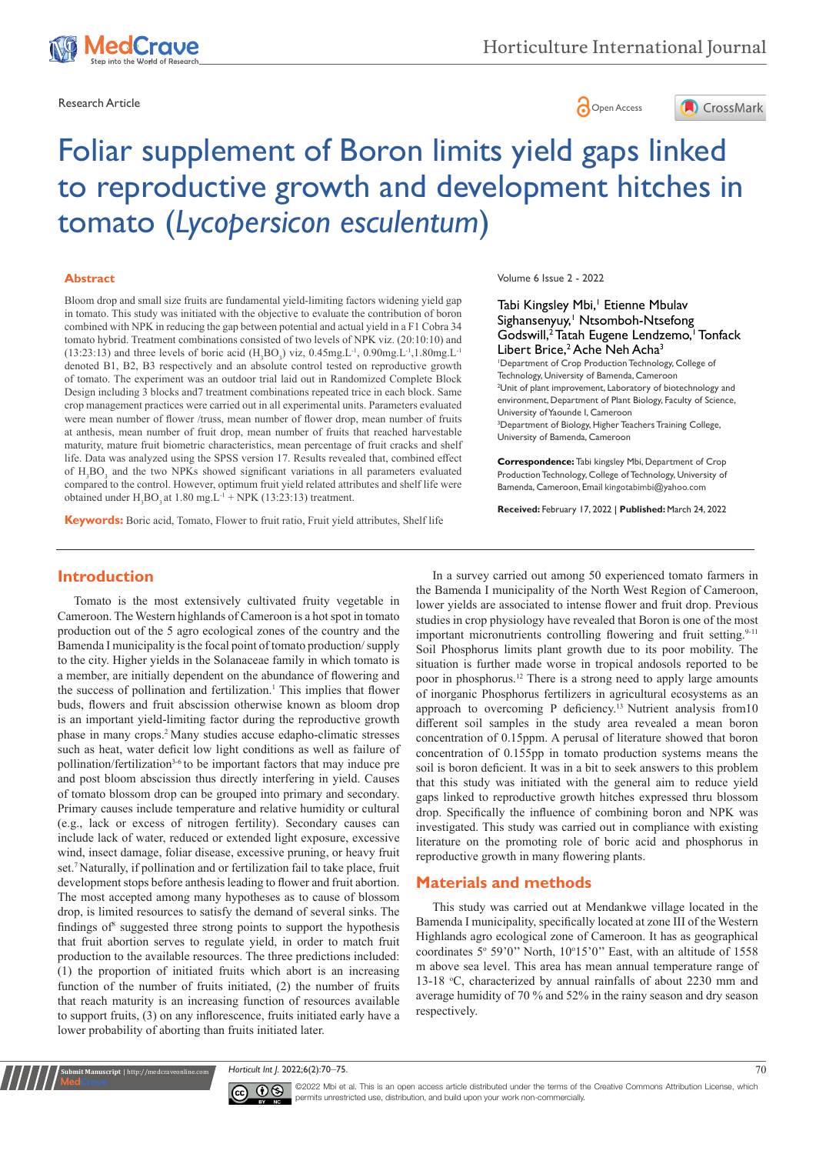

Research Article **Contracts and Contracts and Contracts and Contracts and Contracts and Contracts and Copen Access** 



# Foliar supplement of Boron limits yield gaps linked to reproductive growth and development hitches in tomato (*Lycopersicon esculentum*)

#### **Abstract**

Bloom drop and small size fruits are fundamental yield-limiting factors widening yield gap in tomato. This study was initiated with the objective to evaluate the contribution of boron combined with NPK in reducing the gap between potential and actual yield in a F1 Cobra 34 tomato hybrid. Treatment combinations consisted of two levels of NPK viz. (20:10:10) and (13:23:13) and three levels of boric acid ( $H_3BO_3$ ) viz, 0.45mg.L<sup>-1</sup>, 0.90mg.L<sup>-1</sup>, 1.80mg.L<sup>-1</sup> denoted B1, B2, B3 respectively and an absolute control tested on reproductive growth of tomato. The experiment was an outdoor trial laid out in Randomized Complete Block Design including 3 blocks and7 treatment combinations repeated trice in each block. Same crop management practices were carried out in all experimental units. Parameters evaluated were mean number of flower /truss, mean number of flower drop, mean number of fruits at anthesis, mean number of fruit drop, mean number of fruits that reached harvestable maturity, mature fruit biometric characteristics, mean percentage of fruit cracks and shelf life. Data was analyzed using the SPSS version 17. Results revealed that, combined effect of H<sub>3</sub>BO<sub>3</sub> and the two NPKs showed significant variations in all parameters evaluated compared to the control. However, optimum fruit yield related attributes and shelf life were obtained under  $H_3BO_3$  at 1.80 mg.L<sup>-1</sup> + NPK (13:23:13) treatment.

**Keywords:** Boric acid, Tomato, Flower to fruit ratio, Fruit yield attributes, Shelf life

Volume 6 Issue 2 - 2022

#### Tabi Kingsley Mbi,<sup>1</sup> Etienne Mbulav Sighansenyuy,<sup>1</sup> Ntsomboh-Ntsefong Godswill,<sup>2</sup> Tatah Eugene Lendzemo,<sup>1</sup> Tonfack Libert Brice,<sup>2</sup> Ache Neh Acha<sup>3</sup>

1 Department of Crop Production Technology, College of Technology, University of Bamenda, Cameroon 2 Unit of plant improvement, Laboratory of biotechnology and environment, Department of Plant Biology, Faculty of Science, University of Yaounde I, Cameroon <sup>3</sup>Department of Biology, Higher Teachers Training College,

University of Bamenda, Cameroon

**Correspondence:** Tabi kingsley Mbi, Department of Crop Production Technology, College of Technology, University of Bamenda, Cameroon, Email kingotabimbi@yahoo.com

**Received:** February 17, 2022 | **Published:** March 24, 2022

# **Introduction**

Tomato is the most extensively cultivated fruity vegetable in Cameroon. The Western highlands of Cameroon is a hot spot in tomato production out of the 5 agro ecological zones of the country and the Bamenda I municipality is the focal point of tomato production/ supply to the city. Higher yields in the Solanaceae family in which tomato is a member, are initially dependent on the abundance of flowering and the success of pollination and fertilization.<sup>1</sup> This implies that flower buds, flowers and fruit abscission otherwise known as bloom drop is an important yield-limiting factor during the reproductive growth phase in many crops.2 Many studies accuse edapho-climatic stresses such as heat, water deficit low light conditions as well as failure of pollination/fertilization<sup>3-6</sup> to be important factors that may induce pre and post bloom abscission thus directly interfering in yield. Causes of tomato blossom drop can be grouped into primary and secondary. Primary causes include temperature and relative humidity or cultural (e.g., lack or excess of nitrogen fertility). Secondary causes can include lack of water, reduced or extended light exposure, excessive wind, insect damage, foliar disease, excessive pruning, or heavy fruit set.7 Naturally, if pollination and or fertilization fail to take place, fruit development stops before anthesis leading to flower and fruit abortion. The most accepted among many hypotheses as to cause of blossom drop, is limited resources to satisfy the demand of several sinks. The findings of<sup>8</sup> suggested three strong points to support the hypothesis that fruit abortion serves to regulate yield, in order to match fruit production to the available resources. The three predictions included: (1) the proportion of initiated fruits which abort is an increasing function of the number of fruits initiated, (2) the number of fruits that reach maturity is an increasing function of resources available to support fruits, (3) on any inflorescence, fruits initiated early have a lower probability of aborting than fruits initiated later.

In a survey carried out among 50 experienced tomato farmers in the Bamenda I municipality of the North West Region of Cameroon, lower yields are associated to intense flower and fruit drop. Previous studies in crop physiology have revealed that Boron is one of the most important micronutrients controlling flowering and fruit setting.<sup>9-11</sup> Soil Phosphorus limits plant growth due to its poor mobility. The situation is further made worse in tropical andosols reported to be poor in phosphorus.12 There is a strong need to apply large amounts of inorganic Phosphorus fertilizers in agricultural ecosystems as an approach to overcoming P deficiency.13 Nutrient analysis from10 different soil samples in the study area revealed a mean boron concentration of 0.15ppm. A perusal of literature showed that boron concentration of 0.155pp in tomato production systems means the soil is boron deficient. It was in a bit to seek answers to this problem that this study was initiated with the general aim to reduce yield gaps linked to reproductive growth hitches expressed thru blossom drop. Specifically the influence of combining boron and NPK was investigated. This study was carried out in compliance with existing literature on the promoting role of boric acid and phosphorus in reproductive growth in many flowering plants.

## **Materials and methods**

This study was carried out at Mendankwe village located in the Bamenda I municipality, specifically located at zone III of the Western Highlands agro ecological zone of Cameroon. It has as geographical coordinates  $5^{\circ}$  59'0" North,  $10^{\circ}15'0$ " East, with an altitude of 1558 m above sea level. This area has mean annual temperature range of 13-18 °C, characterized by annual rainfalls of about 2230 mm and average humidity of 70 % and 52% in the rainy season and dry season respectively.

*Horticult Int J.* 2022;6(2):70‒75. 70



**Nit Manuscript** | http://medcraveonline.co

 $\overline{\mathbf{c}}$   $\overline{\mathbf{c}}$   $\odot$   $\odot$  2022 Mbi et al. This is an open access article distributed under the terms of the [Creative Commons Attribution License](https://creativecommons.org/licenses/by-nc/4.0/), which permits unrestricted use, distribution, and build upon your work non-commercially.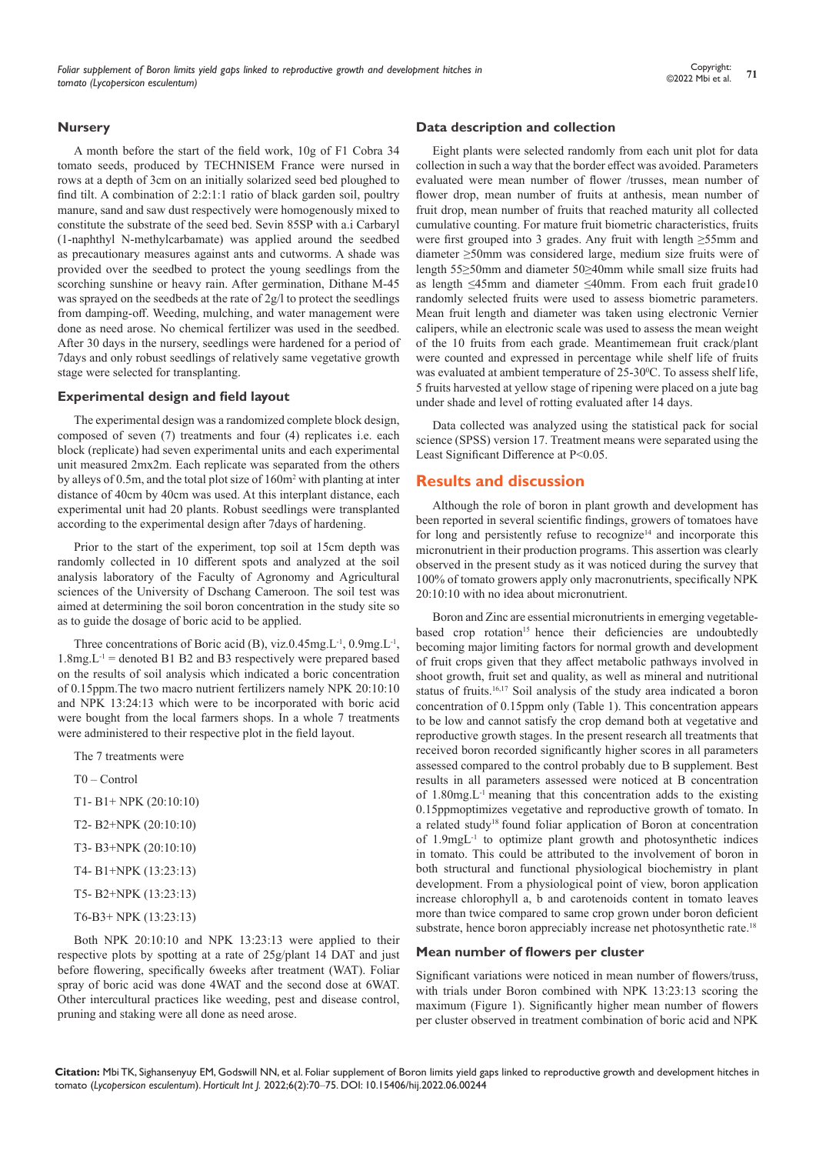#### **Nursery**

A month before the start of the field work, 10g of F1 Cobra 34 tomato seeds, produced by TECHNISEM France were nursed in rows at a depth of 3cm on an initially solarized seed bed ploughed to find tilt. A combination of 2:2:1:1 ratio of black garden soil, poultry manure, sand and saw dust respectively were homogenously mixed to constitute the substrate of the seed bed. Sevin 85SP with a.i Carbaryl (1-naphthyl N-methylcarbamate) was applied around the seedbed as precautionary measures against ants and cutworms. A shade was provided over the seedbed to protect the young seedlings from the scorching sunshine or heavy rain. After germination, Dithane M-45 was sprayed on the seedbeds at the rate of 2g/l to protect the seedlings from damping-off. Weeding, mulching, and water management were done as need arose. No chemical fertilizer was used in the seedbed. After 30 days in the nursery, seedlings were hardened for a period of 7days and only robust seedlings of relatively same vegetative growth stage were selected for transplanting.

#### **Experimental design and field layout**

The experimental design was a randomized complete block design, composed of seven (7) treatments and four (4) replicates i.e. each block (replicate) had seven experimental units and each experimental unit measured 2mx2m. Each replicate was separated from the others by alleys of 0.5m, and the total plot size of 160m<sup>2</sup> with planting at inter distance of 40cm by 40cm was used. At this interplant distance, each experimental unit had 20 plants. Robust seedlings were transplanted according to the experimental design after 7days of hardening.

Prior to the start of the experiment, top soil at 15cm depth was randomly collected in 10 different spots and analyzed at the soil analysis laboratory of the Faculty of Agronomy and Agricultural sciences of the University of Dschang Cameroon. The soil test was aimed at determining the soil boron concentration in the study site so as to guide the dosage of boric acid to be applied.

Three concentrations of Boric acid (B), viz.0.45mg.L<sup>-1</sup>, 0.9mg.L<sup>-1</sup>,  $1.8$ mg. $L^{-1}$  = denoted B1 B2 and B3 respectively were prepared based on the results of soil analysis which indicated a boric concentration of 0.15ppm.The two macro nutrient fertilizers namely NPK 20:10:10 and NPK 13:24:13 which were to be incorporated with boric acid were bought from the local farmers shops. In a whole 7 treatments were administered to their respective plot in the field layout.

The 7 treatments were

T0 – Control

- T1- B1+ NPK (20:10:10)
- T2- B2+NPK (20:10:10)
- T3- B3+NPK (20:10:10)
- T4- B1+NPK (13:23:13)
- T5- B2+NPK (13:23:13)
- T6-B3+ NPK (13:23:13)

Both NPK 20:10:10 and NPK 13:23:13 were applied to their respective plots by spotting at a rate of 25g/plant 14 DAT and just before flowering, specifically 6weeks after treatment (WAT). Foliar spray of boric acid was done 4WAT and the second dose at 6WAT. Other intercultural practices like weeding, pest and disease control, pruning and staking were all done as need arose.

#### **Data description and collection**

Eight plants were selected randomly from each unit plot for data collection in such a way that the border effect was avoided. Parameters evaluated were mean number of flower /trusses, mean number of flower drop, mean number of fruits at anthesis, mean number of fruit drop, mean number of fruits that reached maturity all collected cumulative counting. For mature fruit biometric characteristics, fruits were first grouped into 3 grades. Any fruit with length ≥55mm and diameter ≥50mm was considered large, medium size fruits were of length 55≥50mm and diameter 50≥40mm while small size fruits had as length ≤45mm and diameter ≤40mm. From each fruit grade10 randomly selected fruits were used to assess biometric parameters. Mean fruit length and diameter was taken using electronic Vernier calipers, while an electronic scale was used to assess the mean weight of the 10 fruits from each grade. Meantimemean fruit crack/plant were counted and expressed in percentage while shelf life of fruits was evaluated at ambient temperature of 25-30°C. To assess shelf life, 5 fruits harvested at yellow stage of ripening were placed on a jute bag under shade and level of rotting evaluated after 14 days.

Data collected was analyzed using the statistical pack for social science (SPSS) version 17. Treatment means were separated using the Least Significant Difference at P<0.05.

#### **Results and discussion**

Although the role of boron in plant growth and development has been reported in several scientific findings, growers of tomatoes have for long and persistently refuse to recognize<sup>14</sup> and incorporate this micronutrient in their production programs. This assertion was clearly observed in the present study as it was noticed during the survey that 100% of tomato growers apply only macronutrients, specifically NPK 20:10:10 with no idea about micronutrient.

Boron and Zinc are essential micronutrients in emerging vegetablebased crop rotation<sup>15</sup> hence their deficiencies are undoubtedly becoming major limiting factors for normal growth and development of fruit crops given that they affect metabolic pathways involved in shoot growth, fruit set and quality, as well as mineral and nutritional status of fruits.<sup>16,17</sup> Soil analysis of the study area indicated a boron concentration of 0.15ppm only (Table 1). This concentration appears to be low and cannot satisfy the crop demand both at vegetative and reproductive growth stages. In the present research all treatments that received boron recorded significantly higher scores in all parameters assessed compared to the control probably due to B supplement. Best results in all parameters assessed were noticed at B concentration of 1.80mg.L-1 meaning that this concentration adds to the existing 0.15ppmoptimizes vegetative and reproductive growth of tomato. In a related study18 found foliar application of Boron at concentration of 1.9mgL-1 to optimize plant growth and photosynthetic indices in tomato. This could be attributed to the involvement of boron in both structural and functional physiological biochemistry in plant development. From a physiological point of view, boron application increase chlorophyll a, b and carotenoids content in tomato leaves more than twice compared to same crop grown under boron deficient substrate, hence boron appreciably increase net photosynthetic rate.<sup>18</sup>

#### **Mean number of flowers per cluster**

Significant variations were noticed in mean number of flowers/truss, with trials under Boron combined with NPK 13:23:13 scoring the maximum (Figure 1). Significantly higher mean number of flowers per cluster observed in treatment combination of boric acid and NPK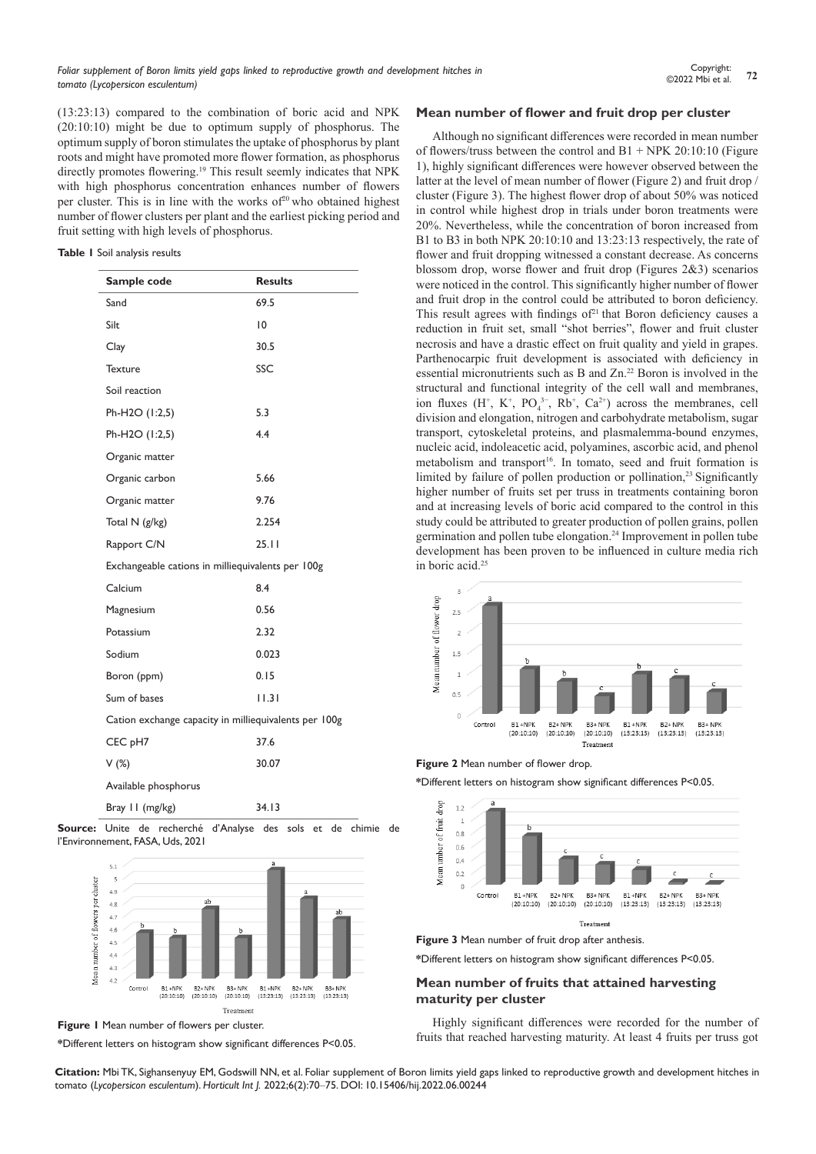(13:23:13) compared to the combination of boric acid and NPK (20:10:10) might be due to optimum supply of phosphorus. The optimum supply of boron stimulates the uptake of phosphorus by plant roots and might have promoted more flower formation, as phosphorus directly promotes flowering.<sup>19</sup> This result seemly indicates that NPK with high phosphorus concentration enhances number of flowers per cluster. This is in line with the works of<sup>20</sup> who obtained highest number of flower clusters per plant and the earliest picking period and fruit setting with high levels of phosphorus.

**Table 1** Soil analysis results

| Sample code                                           | <b>Results</b> |
|-------------------------------------------------------|----------------|
| Sand                                                  | 69.5           |
| Silt                                                  | 10             |
| Clay                                                  | 30.5           |
| <b>Texture</b>                                        | SSC            |
| Soil reaction                                         |                |
| Ph-H2O (1:2,5)                                        | 5.3            |
| Ph-H2O (1:2,5)                                        | 4.4            |
| Organic matter                                        |                |
| Organic carbon                                        | 5.66           |
| Organic matter                                        | 9.76           |
| Total N (g/kg)                                        | 2.254          |
| Rapport C/N                                           | 25.11          |
| Exchangeable cations in milliequivalents per 100g     |                |
| Calcium                                               | 8.4            |
| Magnesium                                             | 0.56           |
| Potassium                                             | 2.32           |
| Sodium                                                | 0.023          |
| Boron (ppm)                                           | 0.15           |
| Sum of bases                                          | 11.31          |
| Cation exchange capacity in milliequivalents per 100g |                |
| CEC pH7                                               | 37.6           |
| $V(\%)$                                               | 30.07          |
| Available phosphorus                                  |                |
| Bray II (mg/kg)                                       | 34.13          |

**Source:** Unite de recherché d'Analyse des sols et de chimie de l'Environnement, FASA, Uds, 2021



**Figure 1** Mean number of flowers per cluster.

**\***Different letters on histogram show significant differences P<0.05.

#### **Mean number of flower and fruit drop per cluster**

Although no significant differences were recorded in mean number of flowers/truss between the control and  $B1 + NPK 20:10:10$  (Figure 1), highly significant differences were however observed between the latter at the level of mean number of flower (Figure 2) and fruit drop / cluster (Figure 3). The highest flower drop of about 50% was noticed in control while highest drop in trials under boron treatments were 20%. Nevertheless, while the concentration of boron increased from B1 to B3 in both NPK 20:10:10 and 13:23:13 respectively, the rate of flower and fruit dropping witnessed a constant decrease. As concerns blossom drop, worse flower and fruit drop (Figures 2&3) scenarios were noticed in the control. This significantly higher number of flower and fruit drop in the control could be attributed to boron deficiency. This result agrees with findings of $21$  that Boron deficiency causes a reduction in fruit set, small "shot berries", flower and fruit cluster necrosis and have a drastic effect on fruit quality and yield in grapes. Parthenocarpic fruit development is associated with deficiency in essential micronutrients such as B and Zn.<sup>22</sup> Boron is involved in the structural and functional integrity of the cell wall and membranes, ion fluxes  $(H^+, K^+, PO_4^{3-}, Rb^+, Ca^{2+})$  across the membranes, cell division and elongation, nitrogen and carbohydrate metabolism, sugar transport, cytoskeletal proteins, and plasmalemma-bound enzymes, nucleic acid, indoleacetic acid, polyamines, ascorbic acid, and phenol metabolism and transport<sup>16</sup>. In tomato, seed and fruit formation is limited by failure of pollen production or pollination,<sup>23</sup> Significantly higher number of fruits set per truss in treatments containing boron and at increasing levels of boric acid compared to the control in this study could be attributed to greater production of pollen grains, pollen germination and pollen tube elongation.<sup>24</sup> Improvement in pollen tube development has been proven to be influenced in culture media rich in boric acid.<sup>25</sup>



**Figure 2** Mean number of flower drop.

**\***Different letters on histogram show significant differences P<0.05.



**\***Different letters on histogram show significant differences P<0.05.

#### **Mean number of fruits that attained harvesting maturity per cluster**

Highly significant differences were recorded for the number of fruits that reached harvesting maturity. At least 4 fruits per truss got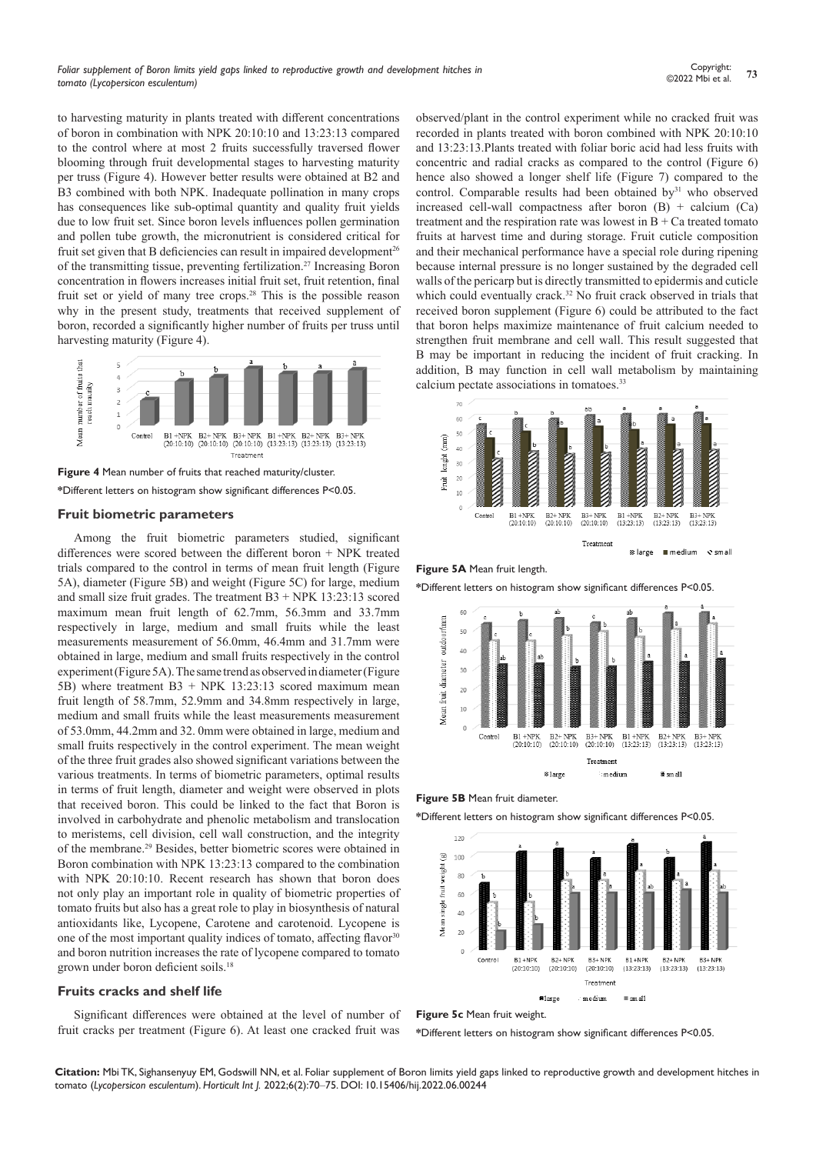to harvesting maturity in plants treated with different concentrations of boron in combination with NPK 20:10:10 and 13:23:13 compared to the control where at most 2 fruits successfully traversed flower blooming through fruit developmental stages to harvesting maturity per truss (Figure 4). However better results were obtained at B2 and B3 combined with both NPK. Inadequate pollination in many crops has consequences like sub-optimal quantity and quality fruit yields due to low fruit set. Since boron levels influences pollen germination and pollen tube growth, the micronutrient is considered critical for fruit set given that B deficiencies can result in impaired development<sup>26</sup> of the transmitting tissue, preventing fertilization.27 Increasing Boron concentration in flowers increases initial fruit set, fruit retention, final fruit set or yield of many tree crops.28 This is the possible reason why in the present study, treatments that received supplement of boron, recorded a significantly higher number of fruits per truss until harvesting maturity (Figure 4).



**Figure 4** Mean number of fruits that reached maturity/cluster. **\***Different letters on histogram show significant differences P<0.05.

#### **Fruit biometric parameters**

Among the fruit biometric parameters studied, significant differences were scored between the different boron + NPK treated trials compared to the control in terms of mean fruit length (Figure 5A), diameter (Figure 5B) and weight (Figure 5C) for large, medium and small size fruit grades. The treatment  $B3 + NPK$  13:23:13 scored maximum mean fruit length of 62.7mm, 56.3mm and 33.7mm respectively in large, medium and small fruits while the least measurements measurement of 56.0mm, 46.4mm and 31.7mm were obtained in large, medium and small fruits respectively in the control experiment (Figure 5A). The same trend as observed in diameter (Figure 5B) where treatment B3 + NPK 13:23:13 scored maximum mean fruit length of 58.7mm, 52.9mm and 34.8mm respectively in large, medium and small fruits while the least measurements measurement of 53.0mm, 44.2mm and 32. 0mm were obtained in large, medium and small fruits respectively in the control experiment. The mean weight of the three fruit grades also showed significant variations between the various treatments. In terms of biometric parameters, optimal results in terms of fruit length, diameter and weight were observed in plots that received boron. This could be linked to the fact that Boron is involved in carbohydrate and phenolic metabolism and translocation to meristems, cell division, cell wall construction, and the integrity of the membrane.29 Besides, better biometric scores were obtained in Boron combination with NPK 13:23:13 compared to the combination with NPK 20:10:10. Recent research has shown that boron does not only play an important role in quality of biometric properties of tomato fruits but also has a great role to play in biosynthesis of natural antioxidants like, Lycopene, Carotene and carotenoid. Lycopene is one of the most important quality indices of tomato, affecting flavor<sup>30</sup> and boron nutrition increases the rate of lycopene compared to tomato grown under boron deficient soils.<sup>18</sup>

#### **Fruits cracks and shelf life**

Significant differences were obtained at the level of number of fruit cracks per treatment (Figure 6). At least one cracked fruit was

observed/plant in the control experiment while no cracked fruit was recorded in plants treated with boron combined with NPK 20:10:10 and 13:23:13.Plants treated with foliar boric acid had less fruits with concentric and radial cracks as compared to the control (Figure  $6$ ) hence also showed a longer shelf life (Figure 7) compared to the control. Comparable results had been obtained by<sup>31</sup> who observed increased cell-wall compactness after boron  $(B)$  + calcium  $(Ca)$ treatment and the respiration rate was lowest in  $B + Ca$  treated tomato fruits at harvest time and during storage. Fruit cuticle composition and their mechanical performance have a special role during ripening because internal pressure is no longer sustained by the degraded cell walls of the pericarp but is directly transmitted to epidermis and cuticle which could eventually crack.<sup>32</sup> No fruit crack observed in trials that received boron supplement (Figure 6) could be attributed to the fact that boron helps maximize maintenance of fruit calcium needed to strengthen fruit membrane and cell wall. This result suggested that B may be important in reducing the incident of fruit cracking. In addition, B may function in cell wall metabolism by maintaining calcium pectate associations in tomatoes.33





**\***Different letters on histogram show significant differences P<0.05.



**Figure 5B** Mean fruit diameter.

**\***Different letters on histogram show significant differences P<0.05.





**\***Different letters on histogram show significant differences P<0.05.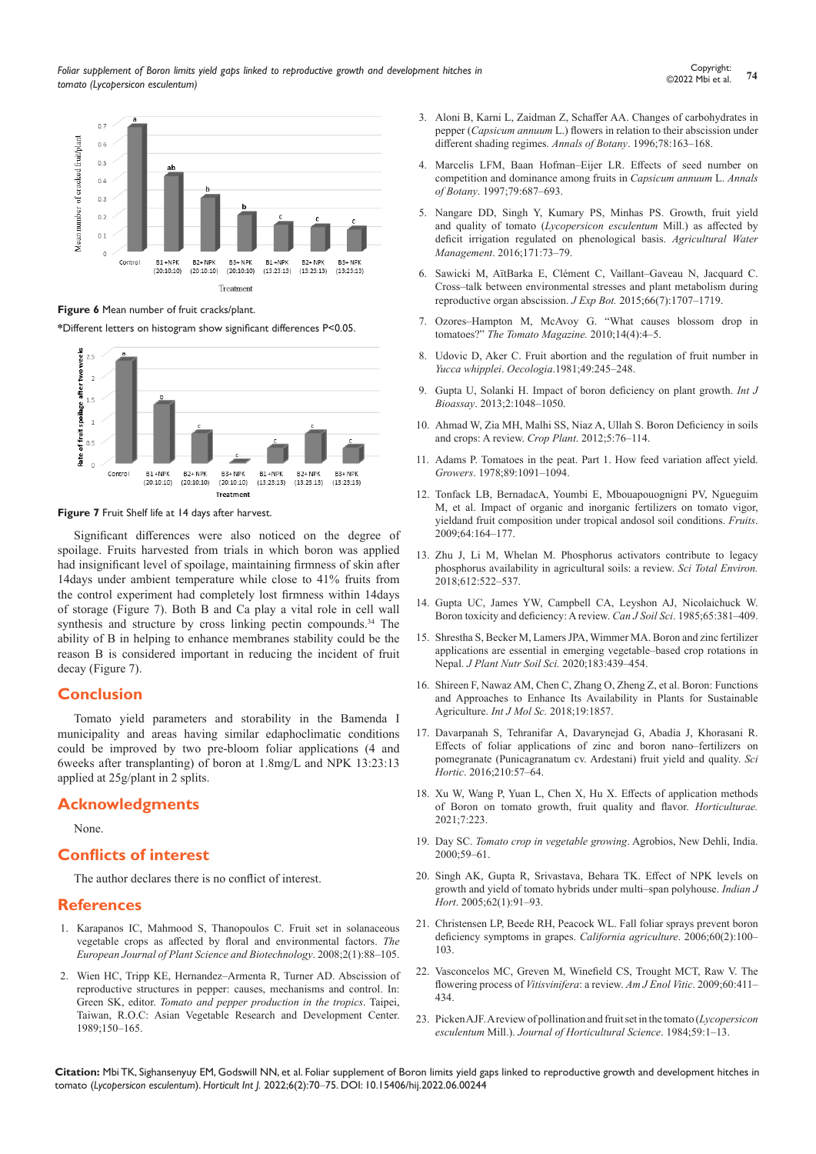

**Figure 6** Mean number of fruit cracks/plant.

**\***Different letters on histogram show significant differences P<0.05.



**Figure 7** Fruit Shelf life at 14 days after harvest.

Significant differences were also noticed on the degree of spoilage. Fruits harvested from trials in which boron was applied had insignificant level of spoilage, maintaining firmness of skin after 14days under ambient temperature while close to 41% fruits from the control experiment had completely lost firmness within 14days of storage (Figure 7). Both B and Ca play a vital role in cell wall synthesis and structure by cross linking pectin compounds.<sup>34</sup> The ability of B in helping to enhance membranes stability could be the reason B is considered important in reducing the incident of fruit decay (Figure 7).

### **Conclusion**

Tomato yield parameters and storability in the Bamenda I municipality and areas having similar edaphoclimatic conditions could be improved by two pre-bloom foliar applications (4 and 6weeks after transplanting) of boron at 1.8mg/L and NPK 13:23:13 applied at 25g/plant in 2 splits.

# **Acknowledgments**

None.

# **Conflicts of interest**

The author declares there is no conflict of interest.

### **References**

- 1. [Karapanos IC, Mahmood S, Thanopoulos C. Fruit set in solanaceous](http://www.globalsciencebooks.info/Online/GSBOnline/images/0812/EJPSB_2(SI1)/EJPSB_2(SI1)88-105o.pdf)  [vegetable crops as affected by floral and environmental factors.](http://www.globalsciencebooks.info/Online/GSBOnline/images/0812/EJPSB_2(SI1)/EJPSB_2(SI1)88-105o.pdf) *The [European Journal of Plant Science and Biotechnology](http://www.globalsciencebooks.info/Online/GSBOnline/images/0812/EJPSB_2(SI1)/EJPSB_2(SI1)88-105o.pdf)*. 2008;2(1):88–105.
- 2. Wien HC, Tripp KE, Hernandez–Armenta R, Turner AD. Abscission of reproductive structures in pepper: causes, mechanisms and control. In: Green SK, editor. *Tomato and pepper production in the tropics*. Taipei, Taiwan, R.O.C: Asian Vegetable Research and Development Center. 1989;150–165.
- 3. [Aloni B, Karni L, Zaidman Z, Schaffer AA. Changes of carbohydrates in](https://academic.oup.com/aob/article/78/2/163/2587464)  pepper (*Capsicum annuum* [L.\) flowers in relation to their abscission under](https://academic.oup.com/aob/article/78/2/163/2587464)  [different shading regimes.](https://academic.oup.com/aob/article/78/2/163/2587464) *Annals of Botany*. 1996;78:163–168.
- 4. [Marcelis LFM, Baan Hofman–Eijer LR. Effects of seed number on](https://academic.oup.com/aob/article/79/6/687/2587639)  [competition and dominance among fruits in](https://academic.oup.com/aob/article/79/6/687/2587639) *Capsicum annuum* L. *Annals of Botany*[. 1997;79:687–693.](https://academic.oup.com/aob/article/79/6/687/2587639)
- 5. [Nangare DD, Singh Y, Kumary PS, Minhas PS. Growth, fruit yield](https://www.sciencedirect.com/science/article/pii/S0378377416301007)  and quality of tomato (*[Lycopersicon esculentum](https://www.sciencedirect.com/science/article/pii/S0378377416301007)* Mill.) as affected by [deficit irrigation regulated on phenological basis.](https://www.sciencedirect.com/science/article/pii/S0378377416301007) *Agricultural Water Management*[. 2016;171:73–79.](https://www.sciencedirect.com/science/article/pii/S0378377416301007)
- 6. [Sawicki M, AïtBarka E, Clément C, Vaillant–Gaveau N, Jacquard C.](https://pubmed.ncbi.nlm.nih.gov/25711702/)  [Cross–talk between environmental stresses and plant metabolism during](https://pubmed.ncbi.nlm.nih.gov/25711702/)  [reproductive organ abscission.](https://pubmed.ncbi.nlm.nih.gov/25711702/) *J Exp Bot.* 2015;66(7):1707–1719.
- 7. [Ozores–Hampton M, McAvoy G. "What causes blossom drop in](https://counties.agrilife.org/williamson/files/2014/12/BlossomDropinTomatoes.pdf)  tomatoes?" *[The Tomato Magazine.](https://counties.agrilife.org/williamson/files/2014/12/BlossomDropinTomatoes.pdf)* 2010;14(4):4–5.
- 8. [Udovic D, Aker C. Fruit abortion and the regulation of fruit number in](https://www.jstor.org/stable/4216376)  *Yucca whipplei*. *Oecologia*[.1981;49:245–248.](https://www.jstor.org/stable/4216376)
- 9. Gupta U, Solanki H. Impact of boron deficiency on plant growth. *Int J Bioassay*. 2013;2:1048–1050.
- 10. [Ahmad W, Zia MH, Malhi SS, Niaz A, Ullah S. Boron Deficiency in soils](https://www.intechopen.com/books/crop-plant/boron-deficiency-in-soils-and-crops-a-review)  [and crops: A review.](https://www.intechopen.com/books/crop-plant/boron-deficiency-in-soils-and-crops-a-review) *Crop Plant*. 2012;5:76–114.
- 11. [Adams P. Tomatoes in the peat. Part 1. How feed variation affect yield.](https://www.cambridge.org/core/journals/fruits/article/impact-of-organic-and-inorganic-fertilizers-on-tomato-vigor-yield-and-fruit-composition-under-tropical-andosol-soil-conditions/B3F08FD62211CA8665D5E4490DDF7F9E)  *Growers*[. 1978;89:1091–1094.](https://www.cambridge.org/core/journals/fruits/article/impact-of-organic-and-inorganic-fertilizers-on-tomato-vigor-yield-and-fruit-composition-under-tropical-andosol-soil-conditions/B3F08FD62211CA8665D5E4490DDF7F9E)
- 12. [Tonfack LB, BernadacA, Youmbi E, Mbouapouognigni PV, Ngueguim](https://www.cambridge.org/core/journals/fruits/article/impact-of-organic-and-inorganic-fertilizers-on-tomato-vigor-yield-and-fruit-composition-under-tropical-andosol-soil-conditions/B3F08FD62211CA8665D5E4490DDF7F9E)  [M, et al. Impact of organic and inorganic fertilizers on tomato vigor,](https://www.cambridge.org/core/journals/fruits/article/impact-of-organic-and-inorganic-fertilizers-on-tomato-vigor-yield-and-fruit-composition-under-tropical-andosol-soil-conditions/B3F08FD62211CA8665D5E4490DDF7F9E)  [yieldand fruit composition under tropical andosol soil conditions.](https://www.cambridge.org/core/journals/fruits/article/impact-of-organic-and-inorganic-fertilizers-on-tomato-vigor-yield-and-fruit-composition-under-tropical-andosol-soil-conditions/B3F08FD62211CA8665D5E4490DDF7F9E) *Fruits*. [2009;64:164–177.](https://www.cambridge.org/core/journals/fruits/article/impact-of-organic-and-inorganic-fertilizers-on-tomato-vigor-yield-and-fruit-composition-under-tropical-andosol-soil-conditions/B3F08FD62211CA8665D5E4490DDF7F9E)
- 13. [Zhu J, Li M, Whelan M. Phosphorus activators contribute to legacy](https://www.sciencedirect.com/science/article/pii/S0048969717320934)  [phosphorus availability in agricultural soils: a review.](https://www.sciencedirect.com/science/article/pii/S0048969717320934) *Sci Total Environ.* [2018;612:522–537.](https://www.sciencedirect.com/science/article/pii/S0048969717320934)
- 14. [Gupta UC, James YW, Campbell CA, Leyshon AJ, Nicolaichuck W.](https://cdnsciencepub.com/doi/pdf/10.4141/cjss85-044)  [Boron toxicity and deficiency: A review.](https://cdnsciencepub.com/doi/pdf/10.4141/cjss85-044) *Can J Soil Sci*. 1985;65:381–409.
- 15. [Shrestha S, Becker M, Lamers JPA, Wimmer MA. Boron and zinc fertilizer](https://onlinelibrary.wiley.com/doi/full/10.1002/jpln.202000151)  [applications are essential in emerging vegetable–based crop rotations in](https://onlinelibrary.wiley.com/doi/full/10.1002/jpln.202000151)  Nepal. *[J Plant Nutr Soil Sci.](https://onlinelibrary.wiley.com/doi/full/10.1002/jpln.202000151)* 2020;183:439–454.
- 16. [Shireen F, Nawaz AM, Chen C, Zhang O, Zheng Z, et al. Boron: Functions](https://www.ncbi.nlm.nih.gov/pmc/articles/PMC6073895/)  [and Approaches to Enhance Its Availability in Plants for Sustainable](https://www.ncbi.nlm.nih.gov/pmc/articles/PMC6073895/)  Agriculture. *Int J Mol Sc.* [2018;19:1857.](https://www.ncbi.nlm.nih.gov/pmc/articles/PMC6073895/)
- 17. [Davarpanah S, Tehranifar A, Davarynejad G, Abadía J, Khorasani R.](https://www.sciencedirect.com/science/article/pii/S030442381630334X)  [Effects of foliar applications of zinc and boron nano–fertilizers on](https://www.sciencedirect.com/science/article/pii/S030442381630334X)  [pomegranate \(Punicagranatum cv. Ardestani\) fruit yield and quality.](https://www.sciencedirect.com/science/article/pii/S030442381630334X) *Sci Hortic*[. 2016;210:57–64.](https://www.sciencedirect.com/science/article/pii/S030442381630334X)
- 18. [Xu W, Wang P, Yuan L, Chen X, Hu X. Effects of application methods](https://www.mdpi.com/2311-7524/7/8/223)  [of Boron on tomato growth, fruit quality and flavor.](https://www.mdpi.com/2311-7524/7/8/223) *Horticulturae.*  [2021;7:223.](https://www.mdpi.com/2311-7524/7/8/223)
- 19. Day SC. *Tomato crop in vegetable growing*. Agrobios, New Dehli, India. 2000;59–61.
- 20. [Singh AK, Gupta R, Srivastava, Behara TK. Effect of NPK levels on](https://www.indianjournals.com/ijor.aspx?target=ijor:ijh&volume=62&issue=1&article=025)  [growth and yield of tomato hybrids under multi–span polyhouse.](https://www.indianjournals.com/ijor.aspx?target=ijor:ijh&volume=62&issue=1&article=025) *Indian J Hort*[. 2005;62\(1\):91–93.](https://www.indianjournals.com/ijor.aspx?target=ijor:ijh&volume=62&issue=1&article=025)
- 21. [Christensen LP, Beede RH, Peacock WL. Fall foliar sprays prevent boron](https://escholarship.org/uc/item/24v4w1kr)  [deficiency symptoms in grapes.](https://escholarship.org/uc/item/24v4w1kr) *California agriculture*. 2006;60(2):100– [103.](https://escholarship.org/uc/item/24v4w1kr)
- 22. Vasconcelos MC, Greven M, Winefield CS, Trought MCT, Raw V. The flowering process of *Vitisvinifera*: a review. *Am J Enol Vitic*. 2009;60:411– 434.
- 23. [Picken AJF. A review of pollination and fruit set in the tomato \(](https://www.tandfonline.com/doi/abs/10.1080/00221589.1984.11515163)*Lycopersicon esculentum* Mill.). *[Journal of Horticultural Science](https://www.tandfonline.com/doi/abs/10.1080/00221589.1984.11515163)*. 1984;59:1–13.